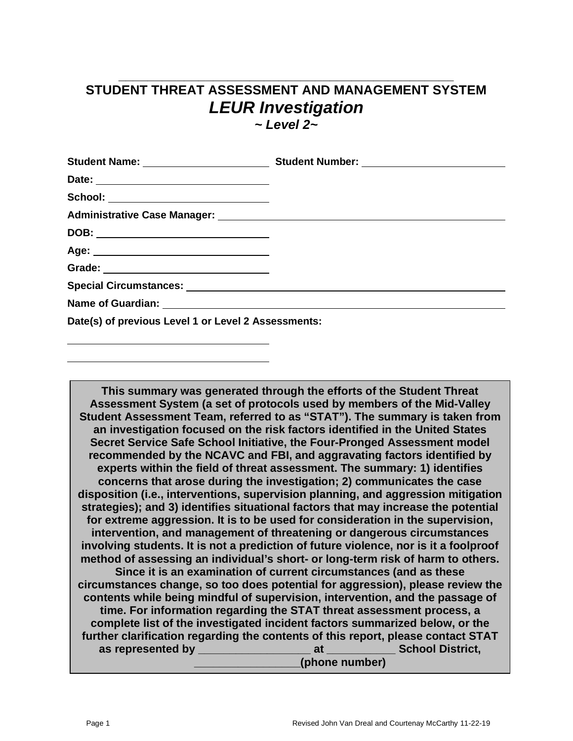## **\_\_\_\_\_\_\_\_\_\_\_\_\_\_\_\_\_\_\_\_\_\_\_\_\_\_\_\_\_\_\_\_\_\_\_\_\_\_\_\_\_\_\_\_\_\_ STUDENT THREAT ASSESSMENT AND MANAGEMENT SYSTEM** *LEUR Investigation*

*~ Level 2~*

| School: ____________________________                |  |
|-----------------------------------------------------|--|
|                                                     |  |
|                                                     |  |
|                                                     |  |
|                                                     |  |
|                                                     |  |
|                                                     |  |
| Date(s) of previous Level 1 or Level 2 Assessments: |  |

**This summary was generated through the efforts of the Student Threat Assessment System (a set of protocols used by members of the Mid-Valley Student Assessment Team, referred to as "STAT"). The summary is taken from an investigation focused on the risk factors identified in the United States Secret Service Safe School Initiative, the Four-Pronged Assessment model recommended by the NCAVC and FBI, and aggravating factors identified by experts within the field of threat assessment. The summary: 1) identifies concerns that arose during the investigation; 2) communicates the case disposition (i.e., interventions, supervision planning, and aggression mitigation strategies); and 3) identifies situational factors that may increase the potential for extreme aggression. It is to be used for consideration in the supervision, intervention, and management of threatening or dangerous circumstances involving students. It is not a prediction of future violence, nor is it a foolproof method of assessing an individual's short- or long-term risk of harm to others. Since it is an examination of current circumstances (and as these circumstances change, so too does potential for aggression), please review the contents while being mindful of supervision, intervention, and the passage of time. For information regarding the STAT threat assessment process, a complete list of the investigated incident factors summarized below, or the further clarification regarding the contents of this report, please contact STAT as represented by \_\_\_\_\_\_\_\_\_\_\_\_\_\_\_\_\_\_ at \_\_\_\_\_\_\_\_\_\_\_ School District, \_\_\_\_\_\_\_\_\_\_\_\_\_\_\_\_\_(phone number)**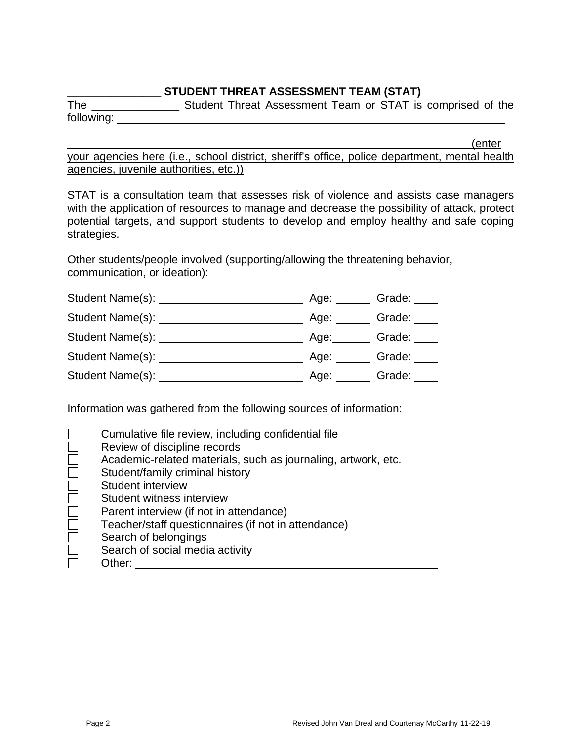### **\_\_\_\_\_\_\_\_\_\_\_\_\_\_\_ STUDENT THREAT ASSESSMENT TEAM (STAT)**

The \_\_\_\_\_\_\_\_\_\_\_\_\_\_\_\_\_\_\_\_\_ Student Threat Assessment Team or STAT is comprised of the following: <u>\_\_\_\_\_\_\_\_\_\_</u>

(enter

your agencies here (i.e., school district, sheriff's office, police department, mental health agencies, juvenile authorities, etc.))

STAT is a consultation team that assesses risk of violence and assists case managers with the application of resources to manage and decrease the possibility of attack, protect potential targets, and support students to develop and employ healthy and safe coping strategies.

Other students/people involved (supporting/allowing the threatening behavior, communication, or ideation):

| Student Name(s): | Age: | Grade: |
|------------------|------|--------|
| Student Name(s): | Age: | Grade: |
| Student Name(s): | Age: | Grade: |
| Student Name(s): | Age: | Grade: |
| Student Name(s): | Age: | Grade: |

Information was gathered from the following sources of information:

|                             | Cumulative file review, including confidential file           |
|-----------------------------|---------------------------------------------------------------|
|                             | Review of discipline records                                  |
| Г                           | Academic-related materials, such as journaling, artwork, etc. |
| $\mathcal{L}_{\mathcal{A}}$ | Student/family criminal history                               |
| $\Box$                      | Student interview                                             |
| $\Box$                      | Student witness interview                                     |
| $\Box$                      | Parent interview (if not in attendance)                       |
| $\Box$                      | Teacher/staff questionnaires (if not in attendance)           |
| $\Box$                      | Search of belongings                                          |
| Г                           | Search of social media activity                               |
|                             | Other:                                                        |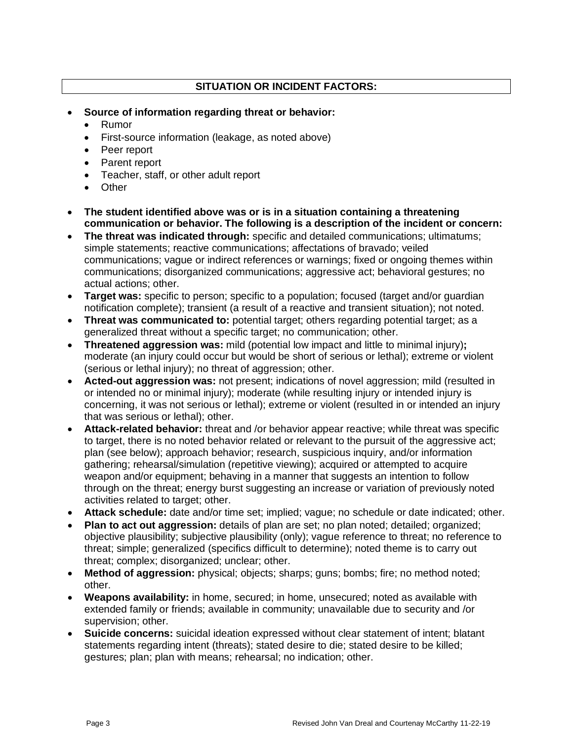### **SITUATION OR INCIDENT FACTORS:**

- **Source of information regarding threat or behavior:**
	- Rumor
	- First-source information (leakage, as noted above)
	- Peer report
	- Parent report
	- Teacher, staff, or other adult report
	- Other
- **The student identified above was or is in a situation containing a threatening communication or behavior. The following is a description of the incident or concern:**
- **The threat was indicated through:** specific and detailed communications; ultimatums; simple statements; reactive communications; affectations of bravado; veiled communications; vague or indirect references or warnings; fixed or ongoing themes within communications; disorganized communications; aggressive act; behavioral gestures; no actual actions; other.
- **Target was:** specific to person; specific to a population; focused (target and/or guardian notification complete); transient (a result of a reactive and transient situation); not noted.
- **Threat was communicated to:** potential target; others regarding potential target; as a generalized threat without a specific target; no communication; other.
- **Threatened aggression was:** mild (potential low impact and little to minimal injury)**;** moderate (an injury could occur but would be short of serious or lethal); extreme or violent (serious or lethal injury); no threat of aggression; other.
- **Acted-out aggression was:** not present; indications of novel aggression; mild (resulted in or intended no or minimal injury); moderate (while resulting injury or intended injury is concerning, it was not serious or lethal); extreme or violent (resulted in or intended an injury that was serious or lethal); other.
- **Attack-related behavior:** threat and /or behavior appear reactive; while threat was specific to target, there is no noted behavior related or relevant to the pursuit of the aggressive act; plan (see below); approach behavior; research, suspicious inquiry, and/or information gathering; rehearsal/simulation (repetitive viewing); acquired or attempted to acquire weapon and/or equipment; behaving in a manner that suggests an intention to follow through on the threat; energy burst suggesting an increase or variation of previously noted activities related to target; other.
- **Attack schedule:** date and/or time set; implied; vague; no schedule or date indicated; other.
- **Plan to act out aggression:** details of plan are set; no plan noted; detailed; organized; objective plausibility; subjective plausibility (only); vague reference to threat; no reference to threat; simple; generalized (specifics difficult to determine); noted theme is to carry out threat; complex; disorganized; unclear; other.
- **Method of aggression:** physical; objects; sharps; guns; bombs; fire; no method noted; other.
- **Weapons availability:** in home, secured; in home, unsecured; noted as available with extended family or friends; available in community; unavailable due to security and /or supervision; other.
- **Suicide concerns:** suicidal ideation expressed without clear statement of intent; blatant statements regarding intent (threats); stated desire to die; stated desire to be killed; gestures; plan; plan with means; rehearsal; no indication; other.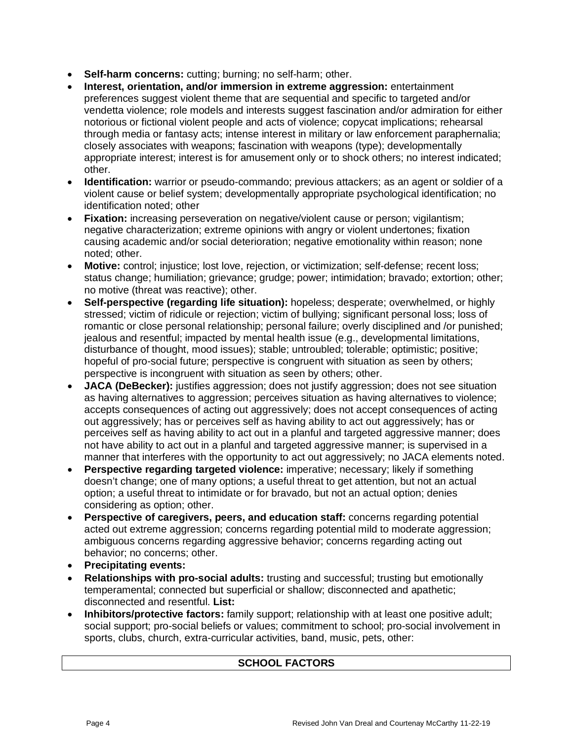- **Self-harm concerns:** cutting; burning; no self-harm; other.
- **Interest, orientation, and/or immersion in extreme aggression:** entertainment preferences suggest violent theme that are sequential and specific to targeted and/or vendetta violence; role models and interests suggest fascination and/or admiration for either notorious or fictional violent people and acts of violence; copycat implications; rehearsal through media or fantasy acts; intense interest in military or law enforcement paraphernalia; closely associates with weapons; fascination with weapons (type); developmentally appropriate interest; interest is for amusement only or to shock others; no interest indicated; other.
- **Identification:** warrior or pseudo-commando; previous attackers; as an agent or soldier of a violent cause or belief system; developmentally appropriate psychological identification; no identification noted; other
- **Fixation:** increasing perseveration on negative/violent cause or person; vigilantism; negative characterization; extreme opinions with angry or violent undertones; fixation causing academic and/or social deterioration; negative emotionality within reason; none noted; other.
- **Motive:** control; injustice; lost love, rejection, or victimization; self-defense; recent loss; status change; humiliation; grievance; grudge; power; intimidation; bravado; extortion; other; no motive (threat was reactive); other.
- **Self-perspective (regarding life situation):** hopeless; desperate; overwhelmed, or highly stressed; victim of ridicule or rejection; victim of bullying; significant personal loss; loss of romantic or close personal relationship; personal failure; overly disciplined and /or punished; jealous and resentful; impacted by mental health issue (e.g., developmental limitations, disturbance of thought, mood issues); stable; untroubled; tolerable; optimistic; positive; hopeful of pro-social future; perspective is congruent with situation as seen by others; perspective is incongruent with situation as seen by others; other.
- **JACA (DeBecker):** justifies aggression; does not justify aggression; does not see situation as having alternatives to aggression; perceives situation as having alternatives to violence; accepts consequences of acting out aggressively; does not accept consequences of acting out aggressively; has or perceives self as having ability to act out aggressively; has or perceives self as having ability to act out in a planful and targeted aggressive manner; does not have ability to act out in a planful and targeted aggressive manner; is supervised in a manner that interferes with the opportunity to act out aggressively; no JACA elements noted.
- **Perspective regarding targeted violence:** imperative; necessary; likely if something doesn't change; one of many options; a useful threat to get attention, but not an actual option; a useful threat to intimidate or for bravado, but not an actual option; denies considering as option; other.
- **Perspective of caregivers, peers, and education staff:** concerns regarding potential acted out extreme aggression; concerns regarding potential mild to moderate aggression; ambiguous concerns regarding aggressive behavior; concerns regarding acting out behavior; no concerns; other.
- **Precipitating events:**
- **Relationships with pro-social adults:** trusting and successful; trusting but emotionally temperamental; connected but superficial or shallow; disconnected and apathetic; disconnected and resentful. **List:**
- **Inhibitors/protective factors:** family support; relationship with at least one positive adult; social support; pro-social beliefs or values; commitment to school; pro-social involvement in sports, clubs, church, extra-curricular activities, band, music, pets, other:

### **SCHOOL FACTORS**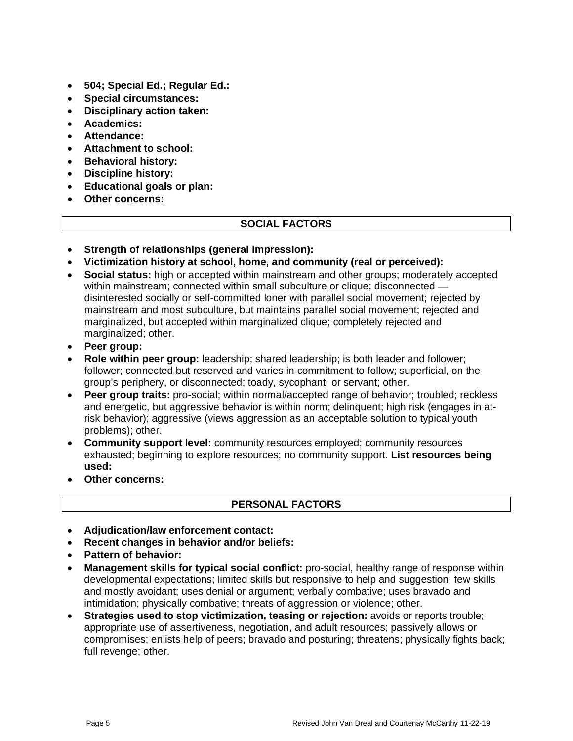- **504; Special Ed.; Regular Ed.:**
- **Special circumstances:**
- **Disciplinary action taken:**
- **Academics:**
- **Attendance:**
- **Attachment to school:**
- **Behavioral history:**
- **Discipline history:**
- **Educational goals or plan:**
- **Other concerns:**

### **SOCIAL FACTORS**

- **Strength of relationships (general impression):**
- **Victimization history at school, home, and community (real or perceived):**
- **Social status:** high or accepted within mainstream and other groups; moderately accepted within mainstream; connected within small subculture or clique; disconnected disinterested socially or self-committed loner with parallel social movement; rejected by mainstream and most subculture, but maintains parallel social movement; rejected and marginalized, but accepted within marginalized clique; completely rejected and marginalized; other.
- **Peer group:**
- **Role within peer group:** leadership; shared leadership; is both leader and follower; follower; connected but reserved and varies in commitment to follow; superficial, on the group's periphery, or disconnected; toady, sycophant, or servant; other.
- **Peer group traits:** pro-social; within normal/accepted range of behavior; troubled; reckless and energetic, but aggressive behavior is within norm; delinquent; high risk (engages in atrisk behavior); aggressive (views aggression as an acceptable solution to typical youth problems); other.
- **Community support level:** community resources employed; community resources exhausted; beginning to explore resources; no community support. **List resources being used:**
- **Other concerns:**

### **PERSONAL FACTORS**

- **Adjudication/law enforcement contact:**
- **Recent changes in behavior and/or beliefs:**
- **Pattern of behavior:**
- **Management skills for typical social conflict:** pro-social, healthy range of response within developmental expectations; limited skills but responsive to help and suggestion; few skills and mostly avoidant; uses denial or argument; verbally combative; uses bravado and intimidation; physically combative; threats of aggression or violence; other.
- **Strategies used to stop victimization, teasing or rejection:** avoids or reports trouble; appropriate use of assertiveness, negotiation, and adult resources; passively allows or compromises; enlists help of peers; bravado and posturing; threatens; physically fights back; full revenge; other.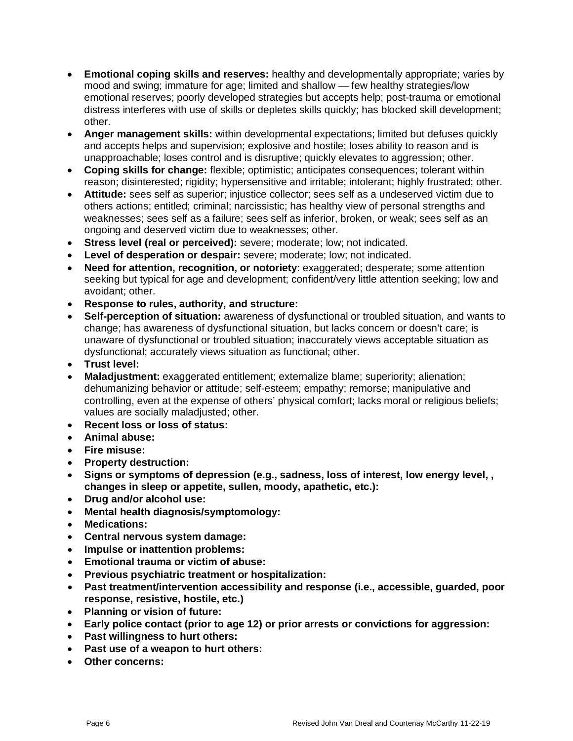- **Emotional coping skills and reserves:** healthy and developmentally appropriate; varies by mood and swing; immature for age; limited and shallow — few healthy strategies/low emotional reserves; poorly developed strategies but accepts help; post-trauma or emotional distress interferes with use of skills or depletes skills quickly; has blocked skill development; other.
- **Anger management skills:** within developmental expectations; limited but defuses quickly and accepts helps and supervision; explosive and hostile; loses ability to reason and is unapproachable; loses control and is disruptive; quickly elevates to aggression; other.
- **Coping skills for change:** flexible; optimistic; anticipates consequences; tolerant within reason; disinterested; rigidity; hypersensitive and irritable; intolerant; highly frustrated; other.
- **Attitude:** sees self as superior; injustice collector; sees self as a undeserved victim due to others actions; entitled; criminal; narcissistic; has healthy view of personal strengths and weaknesses; sees self as a failure; sees self as inferior, broken, or weak; sees self as an ongoing and deserved victim due to weaknesses; other.
- **Stress level (real or perceived):** severe; moderate; low; not indicated.
- **Level of desperation or despair:** severe; moderate; low; not indicated.
- **Need for attention, recognition, or notoriety**: exaggerated; desperate; some attention seeking but typical for age and development; confident/very little attention seeking; low and avoidant; other.
- **Response to rules, authority, and structure:**
- **Self-perception of situation:** awareness of dysfunctional or troubled situation, and wants to change; has awareness of dysfunctional situation, but lacks concern or doesn't care; is unaware of dysfunctional or troubled situation; inaccurately views acceptable situation as dysfunctional; accurately views situation as functional; other.
- **Trust level:**
- **Maladjustment:** exaggerated entitlement; externalize blame; superiority; alienation; dehumanizing behavior or attitude; self-esteem; empathy; remorse; manipulative and controlling, even at the expense of others' physical comfort; lacks moral or religious beliefs; values are socially maladjusted; other.
- **Recent loss or loss of status:**
- **Animal abuse:**
- **Fire misuse:**
- **Property destruction:**
- **Signs or symptoms of depression (e.g., sadness, loss of interest, low energy level, , changes in sleep or appetite, sullen, moody, apathetic, etc.):**
- **Drug and/or alcohol use:**
- **Mental health diagnosis/symptomology:**
- **Medications:**
- **Central nervous system damage:**
- **Impulse or inattention problems:**
- **Emotional trauma or victim of abuse:**
- **Previous psychiatric treatment or hospitalization:**
- **Past treatment/intervention accessibility and response (i.e., accessible, guarded, poor response, resistive, hostile, etc.)**
- **Planning or vision of future:**
- **Early police contact (prior to age 12) or prior arrests or convictions for aggression:**
- **Past willingness to hurt others:**
- **Past use of a weapon to hurt others:**
- **Other concerns:**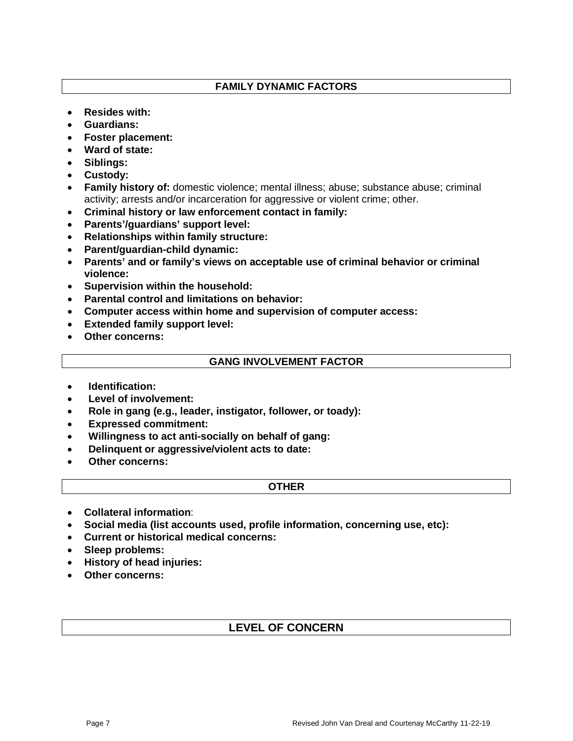### **FAMILY DYNAMIC FACTORS**

- **Resides with:**
- **Guardians:**
- **Foster placement:**
- **Ward of state:**
- **Siblings:**
- **Custody:**
- **Family history of:** domestic violence; mental illness; abuse; substance abuse; criminal activity; arrests and/or incarceration for aggressive or violent crime; other.
- **Criminal history or law enforcement contact in family:**
- **Parents'/guardians' support level:**
- **Relationships within family structure:**
- **Parent/guardian-child dynamic:**
- **Parents' and or family's views on acceptable use of criminal behavior or criminal violence:**
- **Supervision within the household:**
- **Parental control and limitations on behavior:**
- **Computer access within home and supervision of computer access:**
- **Extended family support level:**
- **Other concerns:**

#### **GANG INVOLVEMENT FACTOR**

- **Identification:**
- **Level of involvement:**
- **Role in gang (e.g., leader, instigator, follower, or toady):**
- **Expressed commitment:**
- **Willingness to act anti-socially on behalf of gang:**
- **Delinquent or aggressive/violent acts to date:**
- **Other concerns:**

#### **OTHER**

- **Collateral information**:
- **Social media (list accounts used, profile information, concerning use, etc):**
- **Current or historical medical concerns:**
- **Sleep problems:**
- **History of head injuries:**
- **Other concerns:**

### **LEVEL OF CONCERN**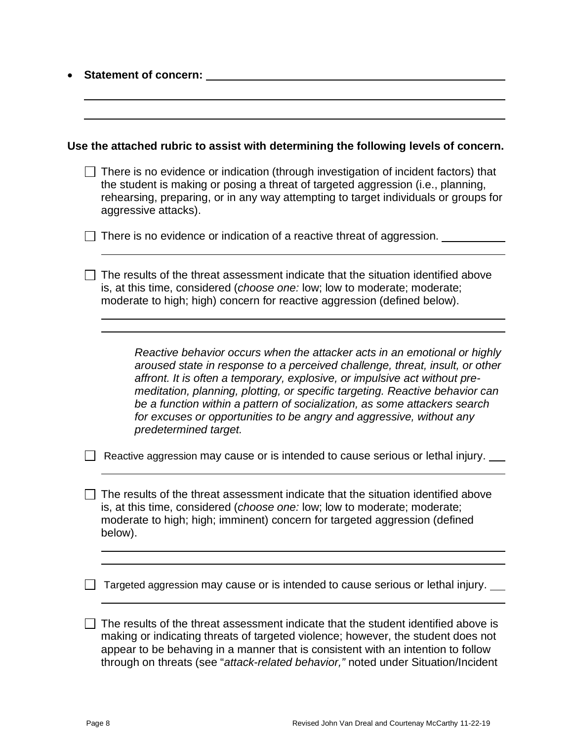| <b>Statement of concern:</b> |                                                                                                                                                                                                                                                                                                                                                                                                                                                                                                       |  |
|------------------------------|-------------------------------------------------------------------------------------------------------------------------------------------------------------------------------------------------------------------------------------------------------------------------------------------------------------------------------------------------------------------------------------------------------------------------------------------------------------------------------------------------------|--|
|                              |                                                                                                                                                                                                                                                                                                                                                                                                                                                                                                       |  |
|                              | Use the attached rubric to assist with determining the following levels of concern.                                                                                                                                                                                                                                                                                                                                                                                                                   |  |
|                              | There is no evidence or indication (through investigation of incident factors) that<br>the student is making or posing a threat of targeted aggression (i.e., planning,<br>rehearsing, preparing, or in any way attempting to target individuals or groups for<br>aggressive attacks).                                                                                                                                                                                                                |  |
|                              | There is no evidence or indication of a reactive threat of aggression.                                                                                                                                                                                                                                                                                                                                                                                                                                |  |
|                              | The results of the threat assessment indicate that the situation identified above<br>is, at this time, considered (choose one: low; low to moderate; moderate;<br>moderate to high; high) concern for reactive aggression (defined below).                                                                                                                                                                                                                                                            |  |
|                              |                                                                                                                                                                                                                                                                                                                                                                                                                                                                                                       |  |
|                              | Reactive behavior occurs when the attacker acts in an emotional or highly<br>aroused state in response to a perceived challenge, threat, insult, or other<br>affront. It is often a temporary, explosive, or impulsive act without pre-<br>meditation, planning, plotting, or specific targeting. Reactive behavior can<br>be a function within a pattern of socialization, as some attackers search<br>for excuses or opportunities to be angry and aggressive, without any<br>predetermined target. |  |
|                              | Reactive aggression may cause or is intended to cause serious or lethal injury.                                                                                                                                                                                                                                                                                                                                                                                                                       |  |
|                              | The results of the threat assessment indicate that the situation identified above<br>is, at this time, considered (choose one: low; low to moderate; moderate;<br>moderate to high; high; imminent) concern for targeted aggression (defined<br>below).                                                                                                                                                                                                                                               |  |
|                              |                                                                                                                                                                                                                                                                                                                                                                                                                                                                                                       |  |
|                              | Targeted aggression may cause or is intended to cause serious or lethal injury.                                                                                                                                                                                                                                                                                                                                                                                                                       |  |
|                              | The results of the threat assessment indicate that the student identified above is<br>making or indicating threats of targeted violence; however, the student does not<br>appear to be behaving in a manner that is consistent with an intention to follow<br>through on threats (see "attack-related behavior," noted under Situation/Incident                                                                                                                                                       |  |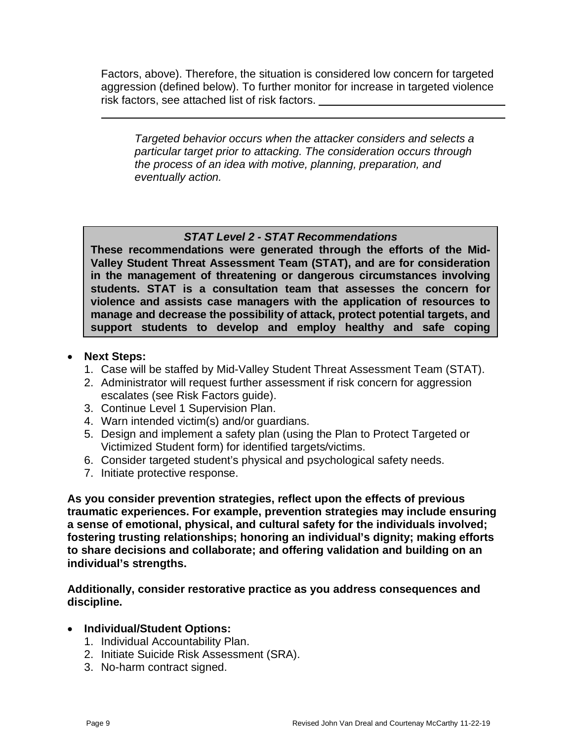Factors, above). Therefore, the situation is considered low concern for targeted aggression (defined below). To further monitor for increase in targeted violence risk factors, see attached list of risk factors.

*Targeted behavior occurs when the attacker considers and selects a particular target prior to attacking. The consideration occurs through the process of an idea with motive, planning, preparation, and eventually action.*

### *STAT Level 2 - STAT Recommendations*

**These recommendations were generated through the efforts of the Mid-Valley Student Threat Assessment Team (STAT), and are for consideration in the management of threatening or dangerous circumstances involving students. STAT is a consultation team that assesses the concern for violence and assists case managers with the application of resources to manage and decrease the possibility of attack, protect potential targets, and support students to develop and employ healthy and safe coping** 

### • **Next Steps:**

- 1. Case will be staffed by Mid-Valley Student Threat Assessment Team (STAT).
- 2. Administrator will request further assessment if risk concern for aggression escalates (see Risk Factors guide).
- 3. Continue Level 1 Supervision Plan.
- 4. Warn intended victim(s) and/or guardians.
- 5. Design and implement a safety plan (using the Plan to Protect Targeted or Victimized Student form) for identified targets/victims.
- 6. Consider targeted student's physical and psychological safety needs.
- 7. Initiate protective response.

**As you consider prevention strategies, reflect upon the effects of previous traumatic experiences. For example, prevention strategies may include ensuring a sense of emotional, physical, and cultural safety for the individuals involved; fostering trusting relationships; honoring an individual's dignity; making efforts to share decisions and collaborate; and offering validation and building on an individual's strengths.**

**Additionally, consider restorative practice as you address consequences and discipline.**

- **Individual/Student Options:**
	- 1. Individual Accountability Plan.
	- 2. Initiate Suicide Risk Assessment (SRA).
	- 3. No-harm contract signed.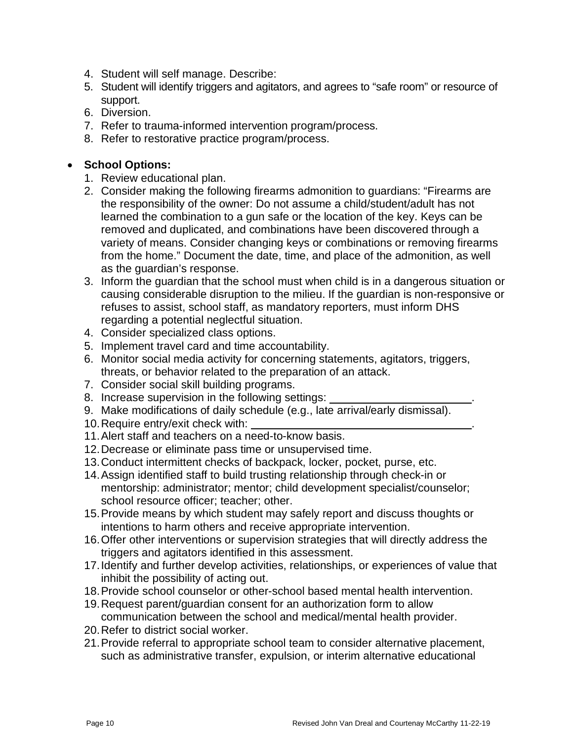- 4. Student will self manage. Describe:
- 5. Student will identify triggers and agitators, and agrees to "safe room" or resource of support.
- 6. Diversion.
- 7. Refer to trauma-informed intervention program/process.
- 8. Refer to restorative practice program/process.

### • **School Options:**

- 1. Review educational plan.
- 2. Consider making the following firearms admonition to guardians: "Firearms are the responsibility of the owner: Do not assume a child/student/adult has not learned the combination to a gun safe or the location of the key. Keys can be removed and duplicated, and combinations have been discovered through a variety of means. Consider changing keys or combinations or removing firearms from the home." Document the date, time, and place of the admonition, as well as the guardian's response.
- 3. Inform the guardian that the school must when child is in a dangerous situation or causing considerable disruption to the milieu. If the guardian is non-responsive or refuses to assist, school staff, as mandatory reporters, must inform DHS regarding a potential neglectful situation.
- 4. Consider specialized class options.
- 5. Implement travel card and time accountability.
- 6. Monitor social media activity for concerning statements, agitators, triggers, threats, or behavior related to the preparation of an attack.
- 7. Consider social skill building programs.
- 8. Increase supervision in the following settings:
- 9. Make modifications of daily schedule (e.g., late arrival/early dismissal).
- 10. Require entry/exit check with:
- 11.Alert staff and teachers on a need-to-know basis.
- 12.Decrease or eliminate pass time or unsupervised time.
- 13.Conduct intermittent checks of backpack, locker, pocket, purse, etc.
- 14.Assign identified staff to build trusting relationship through check-in or mentorship: administrator; mentor; child development specialist/counselor; school resource officer; teacher; other.
- 15.Provide means by which student may safely report and discuss thoughts or intentions to harm others and receive appropriate intervention.
- 16.Offer other interventions or supervision strategies that will directly address the triggers and agitators identified in this assessment.
- 17.Identify and further develop activities, relationships, or experiences of value that inhibit the possibility of acting out.
- 18.Provide school counselor or other-school based mental health intervention.
- 19.Request parent/guardian consent for an authorization form to allow communication between the school and medical/mental health provider.
- 20.Refer to district social worker.
- 21.Provide referral to appropriate school team to consider alternative placement, such as administrative transfer, expulsion, or interim alternative educational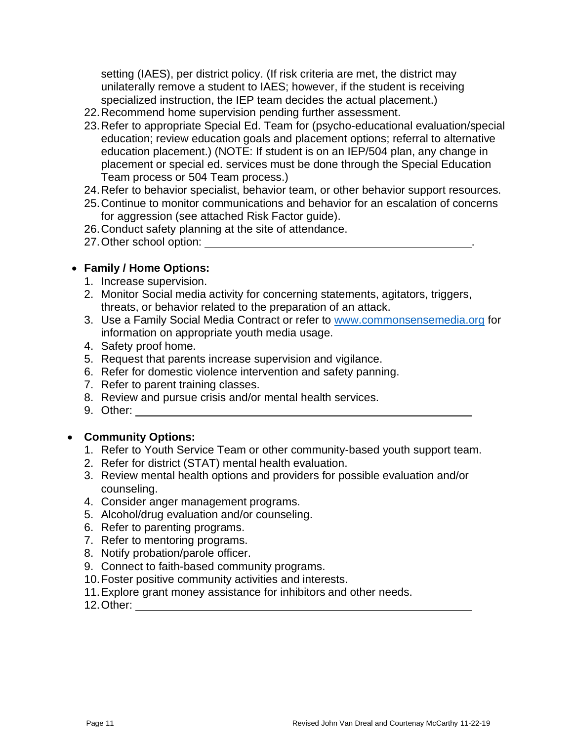setting (IAES), per district policy. (If risk criteria are met, the district may unilaterally remove a student to IAES; however, if the student is receiving specialized instruction, the IEP team decides the actual placement.)

- 22.Recommend home supervision pending further assessment.
- 23.Refer to appropriate Special Ed. Team for (psycho-educational evaluation/special education; review education goals and placement options; referral to alternative education placement.) (NOTE: If student is on an IEP/504 plan, any change in placement or special ed. services must be done through the Special Education Team process or 504 Team process.)
- 24.Refer to behavior specialist, behavior team, or other behavior support resources.
- 25.Continue to monitor communications and behavior for an escalation of concerns for aggression (see attached Risk Factor guide).
- 26.Conduct safety planning at the site of attendance.
- 27.Other school option: .

### • **Family / Home Options:**

- 1. Increase supervision.
- 2. Monitor Social media activity for concerning statements, agitators, triggers, threats, or behavior related to the preparation of an attack.
- 3. Use a Family Social Media Contract or refer to [www.commonsensemedia.org](http://www.commonsensemedia.org/) for information on appropriate youth media usage.
- 4. Safety proof home.
- 5. Request that parents increase supervision and vigilance.
- 6. Refer for domestic violence intervention and safety panning.
- 7. Refer to parent training classes.
- 8. Review and pursue crisis and/or mental health services.
- 9. Other:

### • **Community Options:**

- 1. Refer to Youth Service Team or other community-based youth support team.
- 2. Refer for district (STAT) mental health evaluation.
- 3. Review mental health options and providers for possible evaluation and/or counseling.
- 4. Consider anger management programs.
- 5. Alcohol/drug evaluation and/or counseling.
- 6. Refer to parenting programs.
- 7. Refer to mentoring programs.
- 8. Notify probation/parole officer.
- 9. Connect to faith-based community programs.
- 10.Foster positive community activities and interests.
- 11.Explore grant money assistance for inhibitors and other needs.
- 12.Other: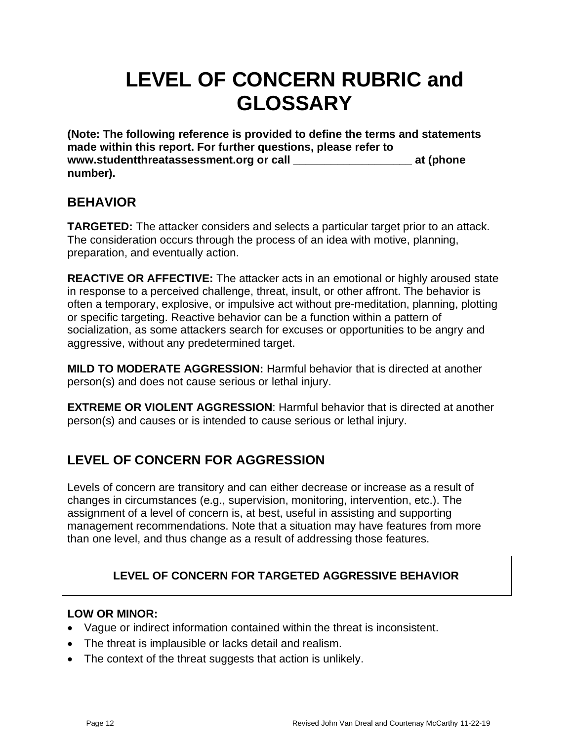# **LEVEL OF CONCERN RUBRIC and GLOSSARY**

**(Note: The following reference is provided to define the terms and statements made within this report. For further questions, please refer to www.studentthreatassessment.org or call \_\_\_\_\_\_\_\_\_\_\_\_\_\_\_\_\_\_\_ at (phone number).**

## **BEHAVIOR**

**TARGETED:** The attacker considers and selects a particular target prior to an attack. The consideration occurs through the process of an idea with motive, planning, preparation, and eventually action.

**REACTIVE OR AFFECTIVE:** The attacker acts in an emotional or highly aroused state in response to a perceived challenge, threat, insult, or other affront. The behavior is often a temporary, explosive, or impulsive act without pre-meditation, planning, plotting or specific targeting. Reactive behavior can be a function within a pattern of socialization, as some attackers search for excuses or opportunities to be angry and aggressive, without any predetermined target.

**MILD TO MODERATE AGGRESSION:** Harmful behavior that is directed at another person(s) and does not cause serious or lethal injury.

**EXTREME OR VIOLENT AGGRESSION**: Harmful behavior that is directed at another person(s) and causes or is intended to cause serious or lethal injury.

# **LEVEL OF CONCERN FOR AGGRESSION**

Levels of concern are transitory and can either decrease or increase as a result of changes in circumstances (e.g., supervision, monitoring, intervention, etc.). The assignment of a level of concern is, at best, useful in assisting and supporting management recommendations. Note that a situation may have features from more than one level, and thus change as a result of addressing those features.

## **LEVEL OF CONCERN FOR TARGETED AGGRESSIVE BEHAVIOR**

### **LOW OR MINOR:**

- Vague or indirect information contained within the threat is inconsistent.
- The threat is implausible or lacks detail and realism.
- The context of the threat suggests that action is unlikely.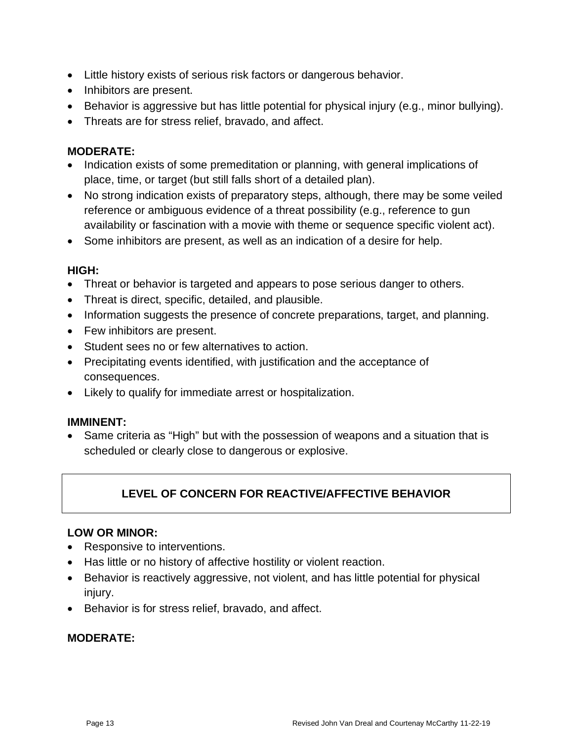- Little history exists of serious risk factors or dangerous behavior.
- Inhibitors are present.
- Behavior is aggressive but has little potential for physical injury (e.g., minor bullying).
- Threats are for stress relief, bravado, and affect.

### **MODERATE:**

- Indication exists of some premeditation or planning, with general implications of place, time, or target (but still falls short of a detailed plan).
- No strong indication exists of preparatory steps, although, there may be some veiled reference or ambiguous evidence of a threat possibility (e.g., reference to gun availability or fascination with a movie with theme or sequence specific violent act).
- Some inhibitors are present, as well as an indication of a desire for help.

### **HIGH:**

- Threat or behavior is targeted and appears to pose serious danger to others.
- Threat is direct, specific, detailed, and plausible.
- Information suggests the presence of concrete preparations, target, and planning.
- Few inhibitors are present.
- Student sees no or few alternatives to action.
- Precipitating events identified, with justification and the acceptance of consequences.
- Likely to qualify for immediate arrest or hospitalization.

### **IMMINENT:**

• Same criteria as "High" but with the possession of weapons and a situation that is scheduled or clearly close to dangerous or explosive.

## **LEVEL OF CONCERN FOR REACTIVE/AFFECTIVE BEHAVIOR**

### **LOW OR MINOR:**

- Responsive to interventions.
- Has little or no history of affective hostility or violent reaction.
- Behavior is reactively aggressive, not violent, and has little potential for physical injury.
- Behavior is for stress relief, bravado, and affect.

### **MODERATE:**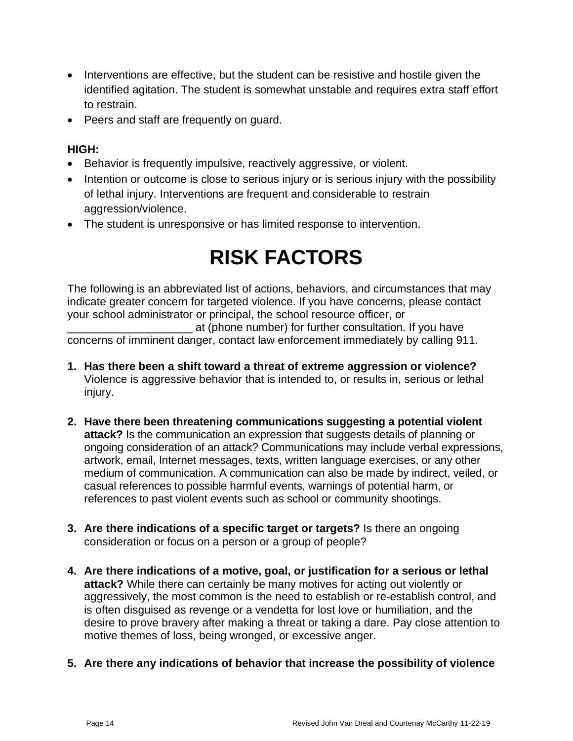- Interventions are effective, but the student can be resistive and hostile given the identified agitation. The student is somewhat unstable and requires extra staff effort to restrain.
- Peers and staff are frequently on guard.

### **HIGH:**

- Behavior is frequently impulsive, reactively aggressive, or violent.
- Intention or outcome is close to serious injury or is serious injury with the possibility of lethal injury. Interventions are frequent and considerable to restrain aggression/violence.
- The student is unresponsive or has limited response to intervention.

# **RISK FACTORS**

The following is an abbreviated list of actions, behaviors, and circumstances that may indicate greater concern for targeted violence. If you have concerns, please contact your school administrator or principal, the school resource officer, or

\_\_\_\_\_\_\_\_\_\_\_\_\_\_\_\_\_\_\_\_ at (phone number) for further consultation. If you have concerns of imminent danger, contact law enforcement immediately by calling 911.

- **1. Has there been a shift toward a threat of extreme aggression or violence?**  Violence is aggressive behavior that is intended to, or results in, serious or lethal injury.
- **2. Have there been threatening communications suggesting a potential violent attack?** Is the communication an expression that suggests details of planning or ongoing consideration of an attack? Communications may include verbal expressions, artwork, email, Internet messages, texts, written language exercises, or any other medium of communication. A communication can also be made by indirect, veiled, or casual references to possible harmful events, warnings of potential harm, or references to past violent events such as school or community shootings.
- **3. Are there indications of a specific target or targets?** Is there an ongoing consideration or focus on a person or a group of people?
- **4. Are there indications of a motive, goal, or justification for a serious or lethal attack?** While there can certainly be many motives for acting out violently or aggressively, the most common is the need to establish or re-establish control, and is often disguised as revenge or a vendetta for lost love or humiliation, and the desire to prove bravery after making a threat or taking a dare. Pay close attention to motive themes of loss, being wronged, or excessive anger.
- **5. Are there any indications of behavior that increase the possibility of violence**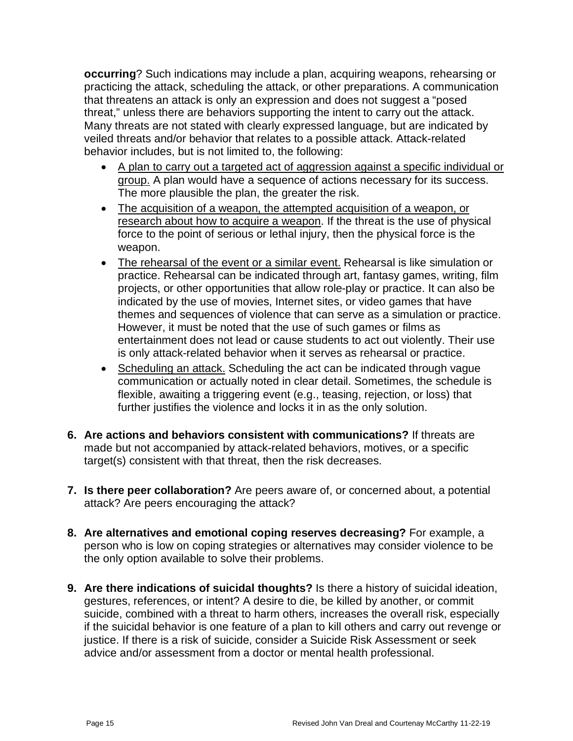**occurring**? Such indications may include a plan, acquiring weapons, rehearsing or practicing the attack, scheduling the attack, or other preparations. A communication that threatens an attack is only an expression and does not suggest a "posed threat," unless there are behaviors supporting the intent to carry out the attack. Many threats are not stated with clearly expressed language, but are indicated by veiled threats and/or behavior that relates to a possible attack. Attack-related behavior includes, but is not limited to, the following:

- A plan to carry out a targeted act of aggression against a specific individual or group. A plan would have a sequence of actions necessary for its success. The more plausible the plan, the greater the risk.
- The acquisition of a weapon, the attempted acquisition of a weapon, or research about how to acquire a weapon. If the threat is the use of physical force to the point of serious or lethal injury, then the physical force is the weapon.
- The rehearsal of the event or a similar event. Rehearsal is like simulation or practice. Rehearsal can be indicated through art, fantasy games, writing, film projects, or other opportunities that allow role-play or practice. It can also be indicated by the use of movies, Internet sites, or video games that have themes and sequences of violence that can serve as a simulation or practice. However, it must be noted that the use of such games or films as entertainment does not lead or cause students to act out violently. Their use is only attack-related behavior when it serves as rehearsal or practice.
- Scheduling an attack. Scheduling the act can be indicated through vague communication or actually noted in clear detail. Sometimes, the schedule is flexible, awaiting a triggering event (e.g., teasing, rejection, or loss) that further justifies the violence and locks it in as the only solution.
- **6. Are actions and behaviors consistent with communications?** If threats are made but not accompanied by attack-related behaviors, motives, or a specific target(s) consistent with that threat, then the risk decreases.
- **7. Is there peer collaboration?** Are peers aware of, or concerned about, a potential attack? Are peers encouraging the attack?
- **8. Are alternatives and emotional coping reserves decreasing?** For example, a person who is low on coping strategies or alternatives may consider violence to be the only option available to solve their problems.
- **9. Are there indications of suicidal thoughts?** Is there a history of suicidal ideation, gestures, references, or intent? A desire to die, be killed by another, or commit suicide, combined with a threat to harm others, increases the overall risk, especially if the suicidal behavior is one feature of a plan to kill others and carry out revenge or justice. If there is a risk of suicide, consider a Suicide Risk Assessment or seek advice and/or assessment from a doctor or mental health professional.